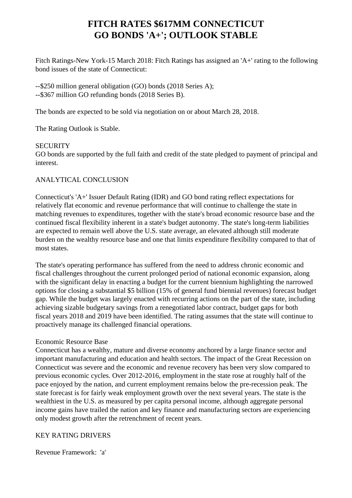# **FITCH RATES \$617MM CONNECTICUT GO BONDS 'A+'; OUTLOOK STABLE**

 Fitch Ratings-New York-15 March 2018: Fitch Ratings has assigned an 'A+' rating to the following bond issues of the state of Connecticut:

 --\$250 million general obligation (GO) bonds (2018 Series A); --\$367 million GO refunding bonds (2018 Series B).

The bonds are expected to be sold via negotiation on or about March 28, 2018.

The Rating Outlook is Stable.

# **SECURITY**

 GO bonds are supported by the full faith and credit of the state pledged to payment of principal and interest.

# ANALYTICAL CONCLUSION

 Connecticut's 'A+' Issuer Default Rating (IDR) and GO bond rating reflect expectations for relatively flat economic and revenue performance that will continue to challenge the state in matching revenues to expenditures, together with the state's broad economic resource base and the continued fiscal flexibility inherent in a state's budget autonomy. The state's long-term liabilities are expected to remain well above the U.S. state average, an elevated although still moderate burden on the wealthy resource base and one that limits expenditure flexibility compared to that of most states.

 The state's operating performance has suffered from the need to address chronic economic and fiscal challenges throughout the current prolonged period of national economic expansion, along with the significant delay in enacting a budget for the current biennium highlighting the narrowed options for closing a substantial \$5 billion (15% of general fund biennial revenues) forecast budget gap. While the budget was largely enacted with recurring actions on the part of the state, including achieving sizable budgetary savings from a renegotiated labor contract, budget gaps for both fiscal years 2018 and 2019 have been identified. The rating assumes that the state will continue to proactively manage its challenged financial operations.

# Economic Resource Base

 Connecticut has a wealthy, mature and diverse economy anchored by a large finance sector and important manufacturing and education and health sectors. The impact of the Great Recession on Connecticut was severe and the economic and revenue recovery has been very slow compared to previous economic cycles. Over 2012-2016, employment in the state rose at roughly half of the pace enjoyed by the nation, and current employment remains below the pre-recession peak. The state forecast is for fairly weak employment growth over the next several years. The state is the wealthiest in the U.S. as measured by per capita personal income, although aggregate personal income gains have trailed the nation and key finance and manufacturing sectors are experiencing only modest growth after the retrenchment of recent years.

# KEY RATING DRIVERS

Revenue Framework: 'a'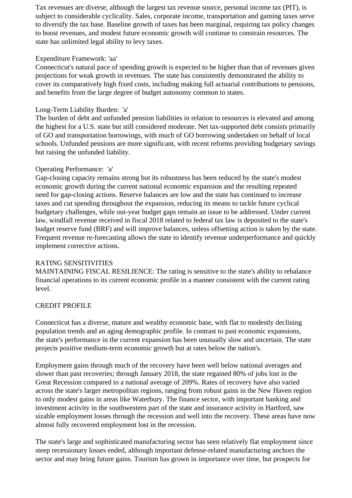Tax revenues are diverse, although the largest tax revenue source, personal income tax (PIT), is subject to considerable cyclicality. Sales, corporate income, transportation and gaming taxes serve to diversify the tax base. Baseline growth of taxes has been marginal, requiring tax policy changes to boost revenues, and modest future economic growth will continue to constrain resources. The state has unlimited legal ability to levy taxes.

# Expenditure Framework: 'aa'

 Connecticut's natural pace of spending growth is expected to be higher than that of revenues given projections for weak growth in revenues. The state has consistently demonstrated the ability to cover its comparatively high fixed costs, including making full actuarial contributions to pensions, and benefits from the large degree of budget autonomy common to states.

# Long-Term Liability Burden: 'a'

 The burden of debt and unfunded pension liabilities in relation to resources is elevated and among the highest for a U.S. state but still considered moderate. Net tax-supported debt consists primarily of GO and transportation borrowings, with much of GO borrowing undertaken on behalf of local schools. Unfunded pensions are more significant, with recent reforms providing budgetary savings but raising the unfunded liability.

## Operating Performance: 'a'

 Gap-closing capacity remains strong but its robustness has been reduced by the state's modest economic growth during the current national economic expansion and the resulting repeated need for gap-closing actions. Reserve balances are low and the state has continued to increase taxes and cut spending throughout the expansion, reducing its means to tackle future cyclical budgetary challenges, while out-year budget gaps remain an issue to be addressed. Under current law, windfall revenue received in fiscal 2018 related to federal tax law is deposited to the state's budget reserve fund (BRF) and will improve balances, unless offsetting action is taken by the state. Frequent revenue re-forecasting allows the state to identify revenue underperformance and quickly implement corrective actions.

#### RATING SENSITIVITIES

 MAINTAINING FISCAL RESILIENCE: The rating is sensitive to the state's ability to rebalance financial operations to its current economic profile in a manner consistent with the current rating level.

# CREDIT PROFILE

 Connecticut has a diverse, mature and wealthy economic base, with flat to modestly declining population trends and an aging demographic profile. In contrast to past economic expansions, the state's performance in the current expansion has been unusually slow and uncertain. The state projects positive medium-term economic growth but at rates below the nation's.

 Employment gains through much of the recovery have been well below national averages and slower than past recoveries; through January 2018, the state regained 80% of jobs lost in the Great Recession compared to a national average of 209%. Rates of recovery have also varied across the state's larger metropolitan regions, ranging from robust gains in the New Haven region to only modest gains in areas like Waterbury. The finance sector, with important banking and investment activity in the southwestern part of the state and insurance activity in Hartford, saw sizable employment losses through the recession and well into the recovery. These areas have now almost fully recovered employment lost in the recession.

 The state's large and sophisticated manufacturing sector has seen relatively flat employment since steep recessionary losses ended, although important defense-related manufacturing anchors the sector and may bring future gains. Tourism has grown in importance over time, but prospects for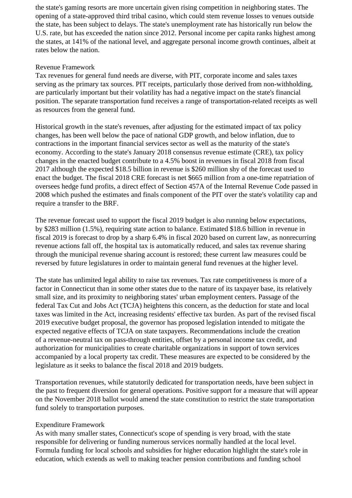the state's gaming resorts are more uncertain given rising competition in neighboring states. The opening of a state-approved third tribal casino, which could stem revenue losses to venues outside the state, has been subject to delays. The state's unemployment rate has historically run below the U.S. rate, but has exceeded the nation since 2012. Personal income per capita ranks highest among the states, at 141% of the national level, and aggregate personal income growth continues, albeit at rates below the nation.

# Revenue Framework

 Tax revenues for general fund needs are diverse, with PIT, corporate income and sales taxes serving as the primary tax sources. PIT receipts, particularly those derived from non-withholding, are particularly important but their volatility has had a negative impact on the state's financial position. The separate transportation fund receives a range of transportation-related receipts as well as resources from the general fund.

 Historical growth in the state's revenues, after adjusting for the estimated impact of tax policy changes, has been well below the pace of national GDP growth, and below inflation, due to contractions in the important financial services sector as well as the maturity of the state's economy. According to the state's January 2018 consensus revenue estimate (CRE), tax policy changes in the enacted budget contribute to a 4.5% boost in revenues in fiscal 2018 from fiscal 2017 although the expected \$18.5 billion in revenue is \$260 million shy of the forecast used to enact the budget. The fiscal 2018 CRE forecast is net \$665 million from a one-time repatriation of oversees hedge fund profits, a direct effect of Section 457A of the Internal Revenue Code passed in 2008 which pushed the estimates and finals component of the PIT over the state's volatility cap and require a transfer to the BRF.

 The revenue forecast used to support the fiscal 2019 budget is also running below expectations, by \$283 million (1.5%), requiring state action to balance. Estimated \$18.6 billion in revenue in fiscal 2019 is forecast to drop by a sharp 6.4% in fiscal 2020 based on current law, as nonrecurring revenue actions fall off, the hospital tax is automatically reduced, and sales tax revenue sharing through the municipal revenue sharing account is restored; these current law measures could be reversed by future legislatures in order to maintain general fund revenues at the higher level.

 The state has unlimited legal ability to raise tax revenues. Tax rate competitiveness is more of a factor in Connecticut than in some other states due to the nature of its taxpayer base, its relatively small size, and its proximity to neighboring states' urban employment centers. Passage of the federal Tax Cut and Jobs Act (TCJA) heightens this concern, as the deduction for state and local taxes was limited in the Act, increasing residents' effective tax burden. As part of the revised fiscal 2019 executive budget proposal, the governor has proposed legislation intended to mitigate the expected negative effects of TCJA on state taxpayers. Recommendations include the creation of a revenue-neutral tax on pass-through entities, offset by a personal income tax credit, and authorization for municipalities to create charitable organizations in support of town services accompanied by a local property tax credit. These measures are expected to be considered by the legislature as it seeks to balance the fiscal 2018 and 2019 budgets.

 Transportation revenues, while statutorily dedicated for transportation needs, have been subject in the past to frequent diversion for general operations. Positive support for a measure that will appear on the November 2018 ballot would amend the state constitution to restrict the state transportation fund solely to transportation purposes.

# Expenditure Framework

 As with many smaller states, Connecticut's scope of spending is very broad, with the state responsible for delivering or funding numerous services normally handled at the local level. Formula funding for local schools and subsidies for higher education highlight the state's role in education, which extends as well to making teacher pension contributions and funding school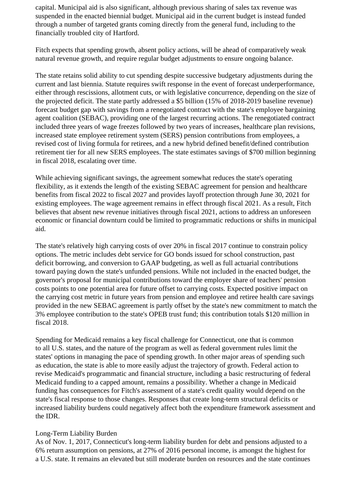capital. Municipal aid is also significant, although previous sharing of sales tax revenue was suspended in the enacted biennial budget. Municipal aid in the current budget is instead funded through a number of targeted grants coming directly from the general fund, including to the financially troubled city of Hartford.

 Fitch expects that spending growth, absent policy actions, will be ahead of comparatively weak natural revenue growth, and require regular budget adjustments to ensure ongoing balance.

 The state retains solid ability to cut spending despite successive budgetary adjustments during the current and last biennia. Statute requires swift response in the event of forecast underperformance, either through rescissions, allotment cuts, or with legislative concurrence, depending on the size of the projected deficit. The state partly addressed a \$5 billion (15% of 2018-2019 baseline revenue) forecast budget gap with savings from a renegotiated contract with the state's employee bargaining agent coalition (SEBAC), providing one of the largest recurring actions. The renegotiated contract included three years of wage freezes followed by two years of increases, healthcare plan revisions, increased state employee retirement system (SERS) pension contributions from employees, a revised cost of living formula for retirees, and a new hybrid defined benefit/defined contribution retirement tier for all new SERS employees. The state estimates savings of \$700 million beginning in fiscal 2018, escalating over time.

 While achieving significant savings, the agreement somewhat reduces the state's operating flexibility, as it extends the length of the existing SEBAC agreement for pension and healthcare benefits from fiscal 2022 to fiscal 2027 and provides layoff protection through June 30, 2021 for existing employees. The wage agreement remains in effect through fiscal 2021. As a result, Fitch believes that absent new revenue initiatives through fiscal 2021, actions to address an unforeseen economic or financial downturn could be limited to programmatic reductions or shifts in municipal aid.

 The state's relatively high carrying costs of over 20% in fiscal 2017 continue to constrain policy options. The metric includes debt service for GO bonds issued for school construction, past deficit borrowing, and conversion to GAAP budgeting, as well as full actuarial contributions toward paying down the state's unfunded pensions. While not included in the enacted budget, the governor's proposal for municipal contributions toward the employer share of teachers' pension costs points to one potential area for future offset to carrying costs. Expected positive impact on the carrying cost metric in future years from pension and employee and retiree health care savings provided in the new SEBAC agreement is partly offset by the state's new commitment to match the 3% employee contribution to the state's OPEB trust fund; this contribution totals \$120 million in fiscal 2018.

 Spending for Medicaid remains a key fiscal challenge for Connecticut, one that is common to all U.S. states, and the nature of the program as well as federal government rules limit the states' options in managing the pace of spending growth. In other major areas of spending such as education, the state is able to more easily adjust the trajectory of growth. Federal action to revise Medicaid's programmatic and financial structure, including a basic restructuring of federal Medicaid funding to a capped amount, remains a possibility. Whether a change in Medicaid funding has consequences for Fitch's assessment of a state's credit quality would depend on the state's fiscal response to those changes. Responses that create long-term structural deficits or increased liability burdens could negatively affect both the expenditure framework assessment and the IDR.

#### Long-Term Liability Burden

 As of Nov. 1, 2017, Connecticut's long-term liability burden for debt and pensions adjusted to a 6% return assumption on pensions, at 27% of 2016 personal income, is amongst the highest for a U.S. state. It remains an elevated but still moderate burden on resources and the state continues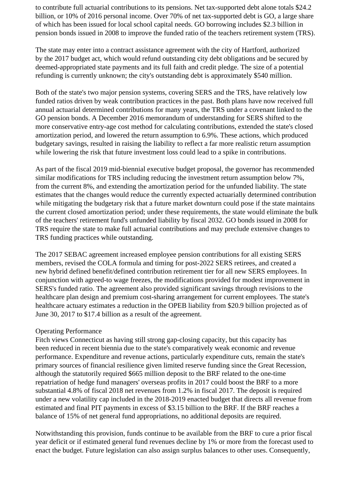to contribute full actuarial contributions to its pensions. Net tax-supported debt alone totals \$24.2 billion, or 10% of 2016 personal income. Over 70% of net tax-supported debt is GO, a large share of which has been issued for local school capital needs. GO borrowing includes \$2.3 billion in pension bonds issued in 2008 to improve the funded ratio of the teachers retirement system (TRS).

 The state may enter into a contract assistance agreement with the city of Hartford, authorized by the 2017 budget act, which would refund outstanding city debt obligations and be secured by deemed-appropriated state payments and its full faith and credit pledge. The size of a potential refunding is currently unknown; the city's outstanding debt is approximately \$540 million.

 Both of the state's two major pension systems, covering SERS and the TRS, have relatively low funded ratios driven by weak contribution practices in the past. Both plans have now received full annual actuarial determined contributions for many years, the TRS under a covenant linked to the GO pension bonds. A December 2016 memorandum of understanding for SERS shifted to the more conservative entry-age cost method for calculating contributions, extended the state's closed amortization period, and lowered the return assumption to 6.9%. These actions, which produced budgetary savings, resulted in raising the liability to reflect a far more realistic return assumption while lowering the risk that future investment loss could lead to a spike in contributions.

 As part of the fiscal 2019 mid-biennial executive budget proposal, the governor has recommended similar modifications for TRS including reducing the investment return assumption below 7%, from the current 8%, and extending the amortization period for the unfunded liability. The state estimates that the changes would reduce the currently expected actuarially determined contribution while mitigating the budgetary risk that a future market downturn could pose if the state maintains the current closed amortization period; under these requirements, the state would eliminate the bulk of the teachers' retirement fund's unfunded liability by fiscal 2032. GO bonds issued in 2008 for TRS require the state to make full actuarial contributions and may preclude extensive changes to TRS funding practices while outstanding.

 The 2017 SEBAC agreement increased employee pension contributions for all existing SERS members, revised the COLA formula and timing for post-2022 SERS retirees, and created a new hybrid defined benefit/defined contribution retirement tier for all new SERS employees. In conjunction with agreed-to wage freezes, the modifications provided for modest improvement in SERS's funded ratio. The agreement also provided significant savings through revisions to the healthcare plan design and premium cost-sharing arrangement for current employees. The state's healthcare actuary estimates a reduction in the OPEB liability from \$20.9 billion projected as of June 30, 2017 to \$17.4 billion as a result of the agreement.

#### Operating Performance

 Fitch views Connecticut as having still strong gap-closing capacity, but this capacity has been reduced in recent biennia due to the state's comparatively weak economic and revenue performance. Expenditure and revenue actions, particularly expenditure cuts, remain the state's primary sources of financial resilience given limited reserve funding since the Great Recession, although the statutorily required \$665 million deposit to the BRF related to the one-time repatriation of hedge fund managers' overseas profits in 2017 could boost the BRF to a more substantial 4.8% of fiscal 2018 net revenues from 1.2% in fiscal 2017. The deposit is required under a new volatility cap included in the 2018-2019 enacted budget that directs all revenue from estimated and final PIT payments in excess of \$3.15 billion to the BRF. If the BRF reaches a balance of 15% of net general fund appropriations, no additional deposits are required.

 Notwithstanding this provision, funds continue to be available from the BRF to cure a prior fiscal year deficit or if estimated general fund revenues decline by 1% or more from the forecast used to enact the budget. Future legislation can also assign surplus balances to other uses. Consequently,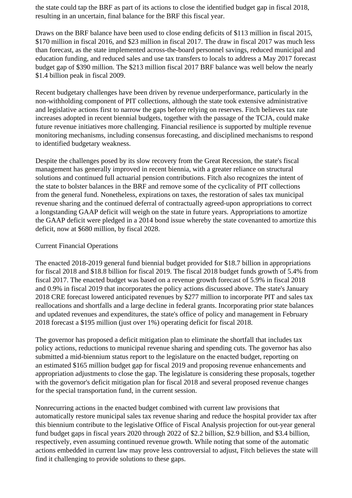the state could tap the BRF as part of its actions to close the identified budget gap in fiscal 2018, resulting in an uncertain, final balance for the BRF this fiscal year.

 Draws on the BRF balance have been used to close ending deficits of \$113 million in fiscal 2015, \$170 million in fiscal 2016, and \$23 million in fiscal 2017. The draw in fiscal 2017 was much less than forecast, as the state implemented across-the-board personnel savings, reduced municipal and education funding, and reduced sales and use tax transfers to locals to address a May 2017 forecast budget gap of \$390 million. The \$213 million fiscal 2017 BRF balance was well below the nearly \$1.4 billion peak in fiscal 2009.

 Recent budgetary challenges have been driven by revenue underperformance, particularly in the non-withholding component of PIT collections, although the state took extensive administrative and legislative actions first to narrow the gaps before relying on reserves. Fitch believes tax rate increases adopted in recent biennial budgets, together with the passage of the TCJA, could make future revenue initiatives more challenging. Financial resilience is supported by multiple revenue monitoring mechanisms, including consensus forecasting, and disciplined mechanisms to respond to identified budgetary weakness.

 Despite the challenges posed by its slow recovery from the Great Recession, the state's fiscal management has generally improved in recent biennia, with a greater reliance on structural solutions and continued full actuarial pension contributions. Fitch also recognizes the intent of the state to bolster balances in the BRF and remove some of the cyclicality of PIT collections from the general fund. Nonetheless, expirations on taxes, the restoration of sales tax municipal revenue sharing and the continued deferral of contractually agreed-upon appropriations to correct a longstanding GAAP deficit will weigh on the state in future years. Appropriations to amortize the GAAP deficit were pledged in a 2014 bond issue whereby the state covenanted to amortize this deficit, now at \$680 million, by fiscal 2028.

#### Current Financial Operations

 The enacted 2018-2019 general fund biennial budget provided for \$18.7 billion in appropriations for fiscal 2018 and \$18.8 billion for fiscal 2019. The fiscal 2018 budget funds growth of 5.4% from fiscal 2017. The enacted budget was based on a revenue growth forecast of 5.9% in fiscal 2018 and 0.9% in fiscal 2019 that incorporates the policy actions discussed above. The state's January 2018 CRE forecast lowered anticipated revenues by \$277 million to incorporate PIT and sales tax reallocations and shortfalls and a large decline in federal grants. Incorporating prior state balances and updated revenues and expenditures, the state's office of policy and management in February 2018 forecast a \$195 million (just over 1%) operating deficit for fiscal 2018.

 The governor has proposed a deficit mitigation plan to eliminate the shortfall that includes tax policy actions, reductions to municipal revenue sharing and spending cuts. The governor has also submitted a mid-biennium status report to the legislature on the enacted budget, reporting on an estimated \$165 million budget gap for fiscal 2019 and proposing revenue enhancements and appropriation adjustments to close the gap. The legislature is considering these proposals, together with the governor's deficit mitigation plan for fiscal 2018 and several proposed revenue changes for the special transportation fund, in the current session.

 Nonrecurring actions in the enacted budget combined with current law provisions that automatically restore municipal sales tax revenue sharing and reduce the hospital provider tax after this biennium contribute to the legislative Office of Fiscal Analysis projection for out-year general fund budget gaps in fiscal years 2020 through 2022 of \$2.2 billion, \$2.9 billion, and \$3.4 billion, respectively, even assuming continued revenue growth. While noting that some of the automatic actions embedded in current law may prove less controversial to adjust, Fitch believes the state will find it challenging to provide solutions to these gaps.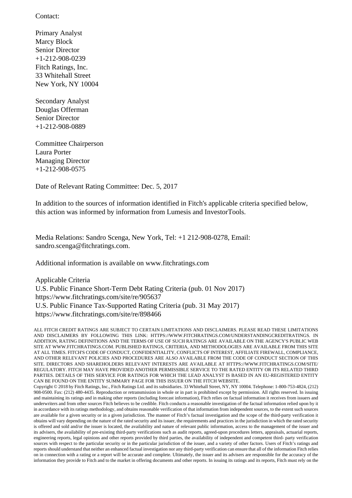Contact:

 Primary Analyst Marcy Block Senior Director +1-212-908-0239 Fitch Ratings, Inc. 33 Whitehall Street New York, NY 10004

 Secondary Analyst Douglas Offerman Senior Director +1-212-908-0889

 Committee Chairperson Laura Porter Managing Director +1-212-908-0575

Date of Relevant Rating Committee: Dec. 5, 2017

 In addition to the sources of information identified in Fitch's applicable criteria specified below, this action was informed by information from Lumesis and InvestorTools.

 Media Relations: Sandro Scenga, New York, Tel: +1 212-908-0278, Email: sandro.scenga@fitchratings.com.

Additional information is available on www.fitchratings.com

 Applicable Criteria U.S. Public Finance Short-Term Debt Rating Criteria (pub. 01 Nov 2017) https://www.fitchratings.com/site/re/905637 U.S. Public Finance Tax-Supported Rating Criteria (pub. 31 May 2017) https://www.fitchratings.com/site/re/898466

ALL FITCH CREDIT RATINGS ARE SUBJECT TO CERTAIN LIMITATIONS AND DISCLAIMERS. PLEASE READ THESE LIMITATIONS AND DISCLAIMERS BY FOLLOWING THIS LINK: HTTPS://WWW.FITCHRATINGS.COM/UNDERSTANDINGCREDITRATINGS. IN ADDITION, RATING DEFINITIONS AND THE TERMS OF USE OF SUCH RATINGS ARE AVAILABLE ON THE AGENCY'S PUBLIC WEB SITE AT WWW.FITCHRATINGS.COM. PUBLISHED RATINGS, CRITERIA, AND METHODOLOGIES ARE AVAILABLE FROM THIS SITE AT ALL TIMES. FITCH'S CODE OF CONDUCT, CONFIDENTIALITY, CONFLICTS OF INTEREST, AFFILIATE FIREWALL, COMPLIANCE, AND OTHER RELEVANT POLICIES AND PROCEDURES ARE ALSO AVAILABLE FROM THE CODE OF CONDUCT SECTION OF THIS SITE. DIRECTORS AND SHAREHOLDERS RELEVANT INTERESTS ARE AVAILABLE AT HTTPS://WWW.FITCHRATINGS.COM/SITE/ REGULATORY. FITCH MAY HAVE PROVIDED ANOTHER PERMISSIBLE SERVICE TO THE RATED ENTITY OR ITS RELATED THIRD PARTIES. DETAILS OF THIS SERVICE FOR RATINGS FOR WHICH THE LEAD ANALYST IS BASED IN AN EU-REGISTERED ENTITY CAN BE FOUND ON THE ENTITY SUMMARY PAGE FOR THIS ISSUER ON THE FITCH WEBSITE.

Copyright © 2018 by Fitch Ratings, Inc., Fitch Ratings Ltd. and its subsidiaries. 33 Whitehall Street, NY, NY 10004. Telephone: 1-800-753-4824, (212) 908-0500. Fax: (212) 480-4435. Reproduction or retransmission in whole or in part is prohibited except by permission. All rights reserved. In issuing and maintaining its ratings and in making other reports (including forecast information), Fitch relies on factual information it receives from issuers and underwriters and from other sources Fitch believes to be credible. Fitch conducts a reasonable investigation of the factual information relied upon by it in accordance with its ratings methodology, and obtains reasonable verification of that information from independent sources, to the extent such sources are available for a given security or in a given jurisdiction. The manner of Fitch's factual investigation and the scope of the third-party verification it obtains will vary depending on the nature of the rated security and its issuer, the requirements and practices in the jurisdiction in which the rated security is offered and sold and/or the issuer is located, the availability and nature of relevant public information, access to the management of the issuer and its advisers, the availability of pre-existing third-party verifications such as audit reports, agreed-upon procedures letters, appraisals, actuarial reports, engineering reports, legal opinions and other reports provided by third parties, the availability of independent and competent third- party verification sources with respect to the particular security or in the particular jurisdiction of the issuer, and a variety of other factors. Users of Fitch's ratings and reports should understand that neither an enhanced factual investigation nor any third-party verification can ensure that all of the information Fitch relies on in connection with a rating or a report will be accurate and complete. Ultimately, the issuer and its advisers are responsible for the accuracy of the information they provide to Fitch and to the market in offering documents and other reports. In issuing its ratings and its reports, Fitch must rely on the